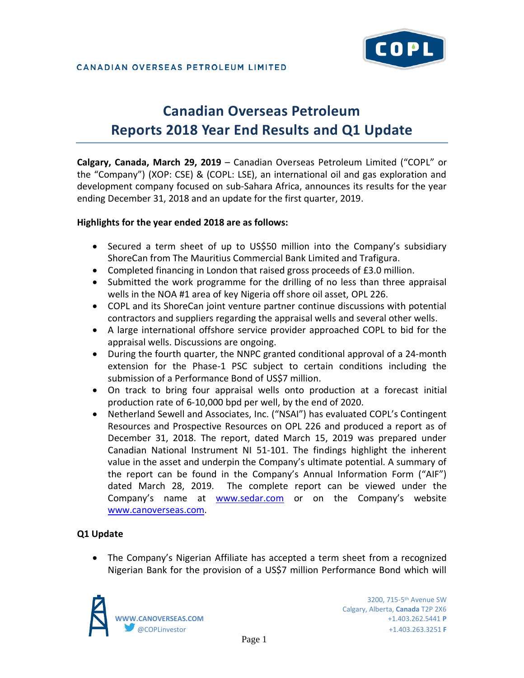# **Canadian Overseas Petroleum Reports 2018 Year End Results and Q1 Update**

**Calgary, Canada, March 29, 2019** – Canadian Overseas Petroleum Limited ("COPL" or the "Company") (XOP: CSE) & (COPL: LSE), an international oil and gas exploration and development company focused on sub-Sahara Africa, announces its results for the year ending December 31, 2018 and an update for the first quarter, 2019.

# **Highlights for the year ended 2018 are as follows:**

- Secured a term sheet of up to US\$50 million into the Company's subsidiary ShoreCan from The Mauritius Commercial Bank Limited and Trafigura.
- Completed financing in London that raised gross proceeds of £3.0 million.
- Submitted the work programme for the drilling of no less than three appraisal wells in the NOA #1 area of key Nigeria off shore oil asset, OPL 226.
- COPL and its ShoreCan joint venture partner continue discussions with potential contractors and suppliers regarding the appraisal wells and several other wells.
- A large international offshore service provider approached COPL to bid for the appraisal wells. Discussions are ongoing.
- During the fourth quarter, the NNPC granted conditional approval of a 24-month extension for the Phase-1 PSC subject to certain conditions including the submission of a Performance Bond of US\$7 million.
- On track to bring four appraisal wells onto production at a forecast initial production rate of 6-10,000 bpd per well, by the end of 2020.
- Netherland Sewell and Associates, Inc. ("NSAI") has evaluated COPL's Contingent Resources and Prospective Resources on OPL 226 and produced a report as of December 31, 2018. The report, dated March 15, 2019 was prepared under Canadian National Instrument NI 51-101. The findings highlight the inherent value in the asset and underpin the Company's ultimate potential. A summary of the report can be found in the Company's Annual Information Form ("AIF") dated March 28, 2019. The complete report can be viewed under the Company's name at [www.sedar.com](http://www.sedar.com/) or on the Company's website [www.canoverseas.com.](http://www.canoverseas.com/)

# **Q1 Update**

• The Company's Nigerian Affiliate has accepted a term sheet from a recognized Nigerian Bank for the provision of a US\$7 million Performance Bond which will

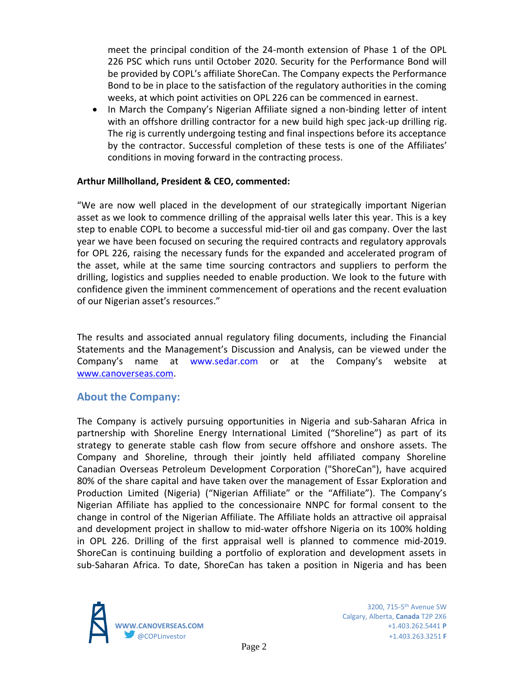meet the principal condition of the 24-month extension of Phase 1 of the OPL 226 PSC which runs until October 2020. Security for the Performance Bond will be provided by COPL's affiliate ShoreCan. The Company expects the Performance Bond to be in place to the satisfaction of the regulatory authorities in the coming weeks, at which point activities on OPL 226 can be commenced in earnest.

• In March the Company's Nigerian Affiliate signed a non-binding letter of intent with an offshore drilling contractor for a new build high spec jack-up drilling rig. The rig is currently undergoing testing and final inspections before its acceptance by the contractor. Successful completion of these tests is one of the Affiliates' conditions in moving forward in the contracting process.

# **Arthur Millholland, President & CEO, commented:**

"We are now well placed in the development of our strategically important Nigerian asset as we look to commence drilling of the appraisal wells later this year. This is a key step to enable COPL to become a successful mid-tier oil and gas company. Over the last year we have been focused on securing the required contracts and regulatory approvals for OPL 226, raising the necessary funds for the expanded and accelerated program of the asset, while at the same time sourcing contractors and suppliers to perform the drilling, logistics and supplies needed to enable production. We look to the future with confidence given the imminent commencement of operations and the recent evaluation of our Nigerian asset's resources."

The results and associated annual regulatory filing documents, including the Financial Statements and the Management's Discussion and Analysis, can be viewed under the Company's name at www.sedar.com or at the Company's website at [www.canoverseas.com.](http://www.canoverseas.com/)

# **About the Company:**

The Company is actively pursuing opportunities in Nigeria and sub-Saharan Africa in partnership with Shoreline Energy International Limited ("Shoreline") as part of its strategy to generate stable cash flow from secure offshore and onshore assets. The Company and Shoreline, through their jointly held affiliated company Shoreline Canadian Overseas Petroleum Development Corporation ("ShoreCan"), have acquired 80% of the share capital and have taken over the management of Essar Exploration and Production Limited (Nigeria) ("Nigerian Affiliate" or the "Affiliate"). The Company's Nigerian Affiliate has applied to the concessionaire NNPC for formal consent to the change in control of the Nigerian Affiliate. The Affiliate holds an attractive oil appraisal and development project in shallow to mid-water offshore Nigeria on its 100% holding in OPL 226. Drilling of the first appraisal well is planned to commence mid-2019. ShoreCan is continuing building a portfolio of exploration and development assets in sub-Saharan Africa. To date, ShoreCan has taken a position in Nigeria and has been

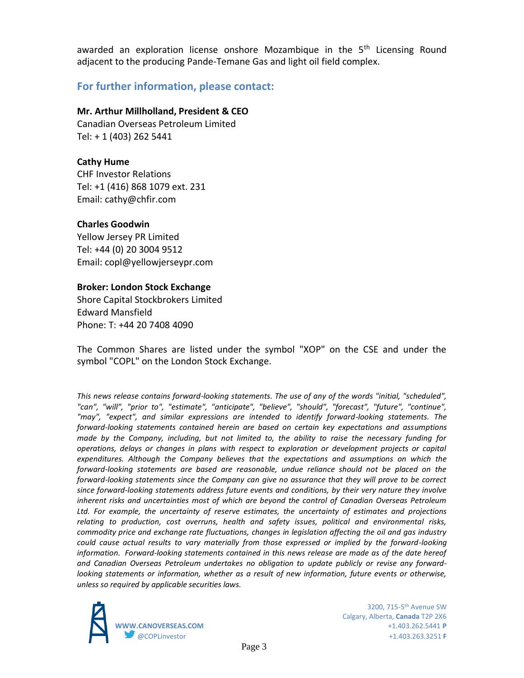awarded an exploration license onshore Mozambique in the  $5<sup>th</sup>$  Licensing Round adjacent to the producing Pande-Temane Gas and light oil field complex.

# **For further information, please contact:**

## **Mr. Arthur Millholland, President & CEO**

Canadian Overseas Petroleum Limited Tel: + 1 (403) 262 5441

### **Cathy Hume**

CHF Investor Relations Tel: +1 (416) 868 1079 ext. 231 Email: cathy@chfir.com

## **Charles Goodwin**

Yellow Jersey PR Limited Tel: +44 (0) 20 3004 9512 Email: copl@yellowjerseypr.com

#### **Broker: London Stock Exchange**

Shore Capital Stockbrokers Limited Edward Mansfield Phone: T: +44 20 7408 4090

The Common Shares are listed under the symbol "XOP" on the CSE and under the symbol "COPL" on the London Stock Exchange.

*This news release contains forward-looking statements. The use of any of the words "initial, "scheduled", "can", "will", "prior to", "estimate", "anticipate", "believe", "should", "forecast", "future", "continue", "may", "expect", and similar expressions are intended to identify forward-looking statements. The forward-looking statements contained herein are based on certain key expectations and assumptions made by the Company, including, but not limited to, the ability to raise the necessary funding for operations, delays or changes in plans with respect to exploration or development projects or capital expenditures. Although the Company believes that the expectations and assumptions on which the forward-looking statements are based are reasonable, undue reliance should not be placed on the forward-looking statements since the Company can give no assurance that they will prove to be correct since forward-looking statements address future events and conditions, by their very nature they involve inherent risks and uncertainties most of which are beyond the control of Canadian Overseas Petroleum Ltd. For example, the uncertainty of reserve estimates, the uncertainty of estimates and projections relating to production, cost overruns, health and safety issues, political and environmental risks, commodity price and exchange rate fluctuations, changes in legislation affecting the oil and gas industry could cause actual results to vary materially from those expressed or implied by the forward-looking information. Forward-looking statements contained in this news release are made as of the date hereof and Canadian Overseas Petroleum undertakes no obligation to update publicly or revise any forwardlooking statements or information, whether as a result of new information, future events or otherwise, unless so required by applicable securities laws.*



Calgary, Alberta, **Canada** T2P 2X6 **WWW.CANOVERSEAS.COM** +1.403.262.5441 **P** @COPLinvestor +1.403.263.3251 **F**